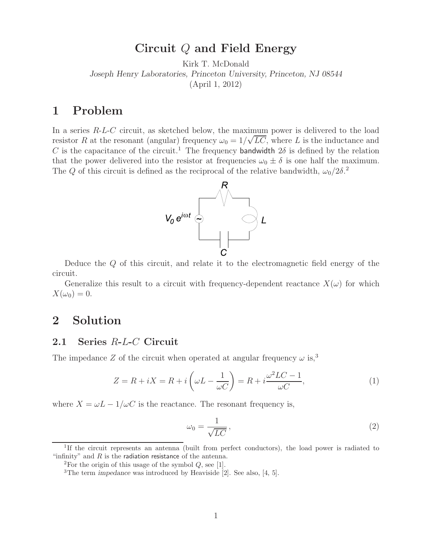## **Circuit** Q **and Field Energy**

Kirk T. McDonald *Joseph Henry Laboratories, Princeton University, Princeton, NJ 08544* (April 1, 2012)

## **1 Problem**

In a series R-L-C circuit, as sketched below, the maximum power is delivered to the load resistor R at the resonant (angular) frequency  $\omega_0 = 1/\sqrt{LC}$ , where L is the inductance and C is the capacitance of the circuit.<sup>1</sup> The frequency **bandwidth**  $2\delta$  is defined by the relation that the power delivered into the resistor at frequencies  $\omega_0 \pm \delta$  is one half the maximum. The Q of this circuit is defined as the reciprocal of the relative bandwidth,  $\omega_0/2\delta$ .



Deduce the Q of this circuit, and relate it to the electromagnetic field energy of the circuit.

Generalize this result to a circuit with frequency-dependent reactance  $X(\omega)$  for which  $X(\omega_0)=0.$ 

## **2 Solution**

#### **2.1 Series** R**-**L**-**C **Circuit**

The impedance Z of the circuit when operated at angular frequency  $\omega$  is,<sup>3</sup>

$$
Z = R + iX = R + i\left(\omega L - \frac{1}{\omega C}\right) = R + i\frac{\omega^2 LC - 1}{\omega C},\tag{1}
$$

where  $X = \omega L - 1/\omega C$  is the reactance. The resonant frequency is,

$$
\omega_0 = \frac{1}{\sqrt{LC}},\tag{2}
$$

<sup>&</sup>lt;sup>1</sup>If the circuit represents an antenna (built from perfect conductors), the load power is radiated to "infinity" and  $R$  is the radiation resistance of the antenna.

<sup>&</sup>lt;sup>2</sup>For the origin of this usage of the symbol  $Q$ , see [1].

<sup>3</sup>The term *impedance* was introduced by Heaviside [2]. See also, [4, 5].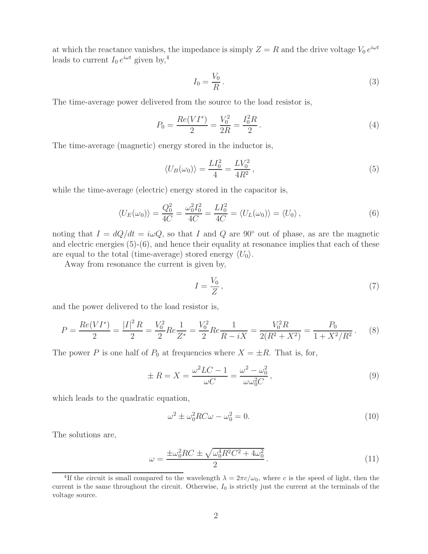at which the reactance vanishes, the impedance is simply  $Z = R$  and the drive voltage  $V_0 e^{i\omega t}$ leads to current  $I_0 e^{i\omega t}$  given by,<sup>4</sup>

$$
I_0 = \frac{V_0}{R}.\tag{3}
$$

The time-average power delivered from the source to the load resistor is,

$$
P_0 = \frac{Re(VI^*)}{2} = \frac{V_0^2}{2R} = \frac{I_0^2R}{2}.
$$
\n(4)

The time-average (magnetic) energy stored in the inductor is,

$$
\langle U_B(\omega_0) \rangle = \frac{LI_0^2}{4} = \frac{LV_0^2}{4R^2},\tag{5}
$$

while the time-average (electric) energy stored in the capacitor is,

$$
\langle U_E(\omega_0) \rangle = \frac{Q_0^2}{4C} = \frac{\omega_0^2 I_0^2}{4C} = \frac{LI_0^2}{4C} = \langle U_L(\omega_0) \rangle = \langle U_0 \rangle \,, \tag{6}
$$

noting that  $I = dQ/dt = i\omega Q$ , so that I and Q are 90° out of phase, as are the magnetic and electric energies (5)-(6), and hence their equality at resonance implies that each of these are equal to the total (time-average) stored energy  $\langle U_0 \rangle$ .

Away from resonance the current is given by,

$$
I = \frac{V_0}{Z},\tag{7}
$$

and the power delivered to the load resistor is,

$$
P = \frac{Re(VI^*)}{2} = \frac{|I|^2 R}{2} = \frac{V_0^2}{2} Re \frac{1}{Z^*} = \frac{V_0^2}{2} Re \frac{1}{R - iX} = \frac{V_0^2 R}{2(R^2 + X^2)} = \frac{P_0}{1 + X^2/R^2}.
$$
 (8)

The power P is one half of  $P_0$  at frequencies where  $X = \pm R$ . That is, for,

$$
\pm R = X = \frac{\omega^2 LC - 1}{\omega C} = \frac{\omega^2 - \omega_0^2}{\omega \omega_0^2 C},\tag{9}
$$

which leads to the quadratic equation,

$$
\omega^2 \pm \omega_0^2 RC\omega - \omega_0^2 = 0. \tag{10}
$$

The solutions are,

$$
\omega = \frac{\pm \omega_0^2 RC \pm \sqrt{\omega_0^4 R^2 C^2 + 4\omega_0^2}}{2} \,. \tag{11}
$$

<sup>&</sup>lt;sup>4</sup>If the circuit is small compared to the wavelength  $\lambda = 2\pi c/\omega_0$ , where c is the speed of light, then the current is the same throughout the circuit. Otherwise,  $I_0$  is strictly just the current at the terminals of the voltage source.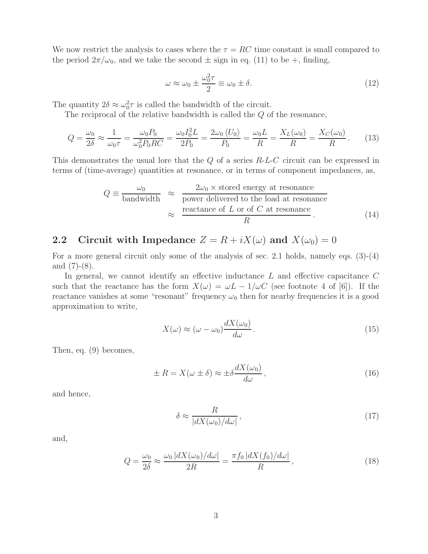We now restrict the analysis to cases where the  $\tau = RC$  time constant is small compared to the period  $2\pi/\omega_0$ , and we take the second  $\pm$  sign in eq. (11) to be +, finding,

$$
\omega \approx \omega_0 \pm \frac{\omega_0^2 \tau}{2} \equiv \omega_0 \pm \delta. \tag{12}
$$

The quantity  $2\delta \approx \omega_0^2 \tau$  is called the bandwidth of the circuit.

The reciprocal of the relative bandwidth is called the Q of the resonance,

$$
Q = \frac{\omega_0}{2\delta} \approx \frac{1}{\omega_0 \tau} = \frac{\omega_0 P_0}{\omega_0^2 P_0 RC} = \frac{\omega_0 I_0^2 L}{2P_0} = \frac{2\omega_0 \langle U_0 \rangle}{P_0} = \frac{\omega_0 L}{R} = \frac{X_L(\omega_0)}{R} = \frac{X_C(\omega_0)}{R}.
$$
 (13)

This demonstrates the usual lore that the Q of a series R-L-C circuit can be expressed in terms of (time-average) quantities at resonance, or in terms of component impedances, as,

$$
Q \equiv \frac{\omega_0}{\text{bandwidth}} \approx \frac{2\omega_0 \times \text{stored energy at resonance}}{\text{power delivered to the load at resonance}}
$$

$$
\approx \frac{\text{reactance of } L \text{ or of } C \text{ at resonance}}{R}.
$$
(14)

# **2.2** Circuit with Impedance  $Z = R + iX(\omega)$  and  $X(\omega_0) = 0$

For a more general circuit only some of the analysis of sec. 2.1 holds, namely eqs. (3)-(4) and  $(7)-(8)$ .

In general, we cannot identify an effective inductance L and effective capacitance C such that the reactance has the form  $X(\omega) = \omega L - 1/\omega C$  (see footnote 4 of [6]). If the reactance vanishes at some "resonant" frequency  $\omega_0$  then for nearby frequencies it is a good approximation to write,

$$
X(\omega) \approx (\omega - \omega_0) \frac{dX(\omega_0)}{d\omega}.
$$
\n(15)

Then, eq. (9) becomes,

$$
\pm R = X(\omega \pm \delta) \approx \pm \delta \frac{dX(\omega_0)}{d\omega}, \qquad (16)
$$

and hence,

$$
\delta \approx \frac{R}{|dX(\omega_0)/d\omega|},\tag{17}
$$

and,

$$
Q = \frac{\omega_0}{2\delta} \approx \frac{\omega_0 \left| dX(\omega_0) / d\omega \right|}{2R} = \frac{\pi f_0 \left| dX(f_0) / d\omega \right|}{R},\tag{18}
$$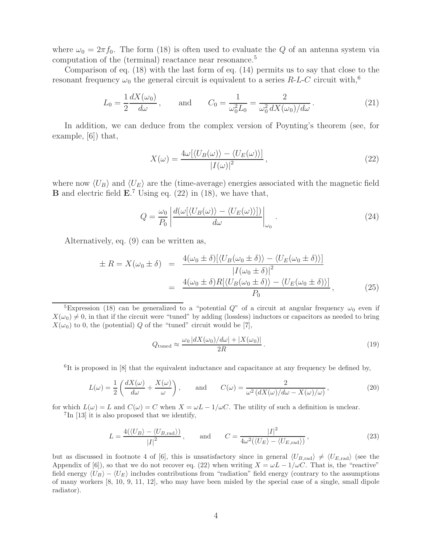where  $\omega_0 = 2\pi f_0$ . The form (18) is often used to evaluate the Q of an antenna system via computation of the (terminal) reactance near resonance.<sup>5</sup>

Comparison of eq. (18) with the last form of eq. (14) permits us to say that close to the resonant frequency  $\omega_0$  the general circuit is equivalent to a series R-L-C circuit with,<sup>6</sup>

$$
L_0 = \frac{1}{2} \frac{dX(\omega_0)}{d\omega}, \quad \text{and} \quad C_0 = \frac{1}{\omega_0^2 L_0} = \frac{2}{\omega_0^2 dX(\omega_0)/d\omega}.
$$
 (21)

In addition, we can deduce from the complex version of Poynting's theorem (see, for example, [6]) that,

$$
X(\omega) = \frac{4\omega[\langle U_B(\omega)\rangle - \langle U_E(\omega)\rangle]}{|I(\omega)|^2},\tag{22}
$$

where now  $\langle U_B \rangle$  and  $\langle U_E \rangle$  are the (time-average) energies associated with the magnetic field **B** and electric field **E**. <sup>7</sup> Using eq. (22) in (18), we have that,

$$
Q = \frac{\omega_0}{P_0} \left| \frac{d(\omega[\langle U_B(\omega) \rangle - \langle U_E(\omega) \rangle])}{d\omega} \right|_{\omega_0}.
$$
\n(24)

Alternatively, eq. (9) can be written as,

$$
\pm R = X(\omega_0 \pm \delta) = \frac{4(\omega_0 \pm \delta)[\langle U_B(\omega_0 \pm \delta) \rangle - \langle U_E(\omega_0 \pm \delta) \rangle]}{[I(\omega_0 \pm \delta)]^2}
$$

$$
= \frac{4(\omega_0 \pm \delta)R[\langle U_B(\omega_0 \pm \delta) \rangle - \langle U_E(\omega_0 \pm \delta) \rangle]}{P_0}, \qquad (25)
$$

<sup>5</sup>Expression (18) can be generalized to a "potential  $Q$ " of a circuit at angular frequency  $\omega_0$  even if  $X(\omega_0) \neq 0$ , in that if the circuit were "tuned" by adding (lossless) inductors or capacitors as needed to bring  $X(\omega_0)$  to 0, the (potential) Q of the "tuned" circuit would be [7],

$$
Q_{\text{tuned}} \approx \frac{\omega_0 \left| dX(\omega_0)/d\omega \right| + \left| X(\omega_0) \right|}{2R} \,. \tag{19}
$$

 ${}^{6}$ It is proposed in [8] that the equivalent inductance and capacitance at any frequency be defined by,

$$
L(\omega) = \frac{1}{2} \left( \frac{dX(\omega)}{d\omega} + \frac{X(\omega)}{\omega} \right), \quad \text{and} \quad C(\omega) = \frac{2}{\omega^2 (dX(\omega)/d\omega - X(\omega)/\omega)}, \tag{20}
$$

for which  $L(\omega) = L$  and  $C(\omega) = C$  when  $X = \omega L - 1/\omega C$ . The utility of such a definition is unclear.

<sup>7</sup>In [13] it is also proposed that we identify,

$$
L = \frac{4(\langle U_B \rangle - \langle U_{B,\text{rad}} \rangle)}{|I|^2}, \quad \text{and} \quad C = \frac{|I|^2}{4\omega^2(\langle U_E \rangle - \langle U_{E,\text{rad}} \rangle)}, \tag{23}
$$

but as discussed in footnote 4 of [6], this is unsatisfactory since in general  $\langle U_{B,\text{rad}} \rangle \neq \langle U_{E,\text{rad}} \rangle$  (see the Appendix of [6]), so that we do not recover eq. (22) when writing  $X = \omega L - 1/\omega C$ . That is, the "reactive" field energy  $\langle U_B \rangle - \langle U_E \rangle$  includes contributions from "radiation" field energy (contrary to the assumptions of many workers [8, 10, 9, 11, 12], who may have been misled by the special case of a single, small dipole radiator).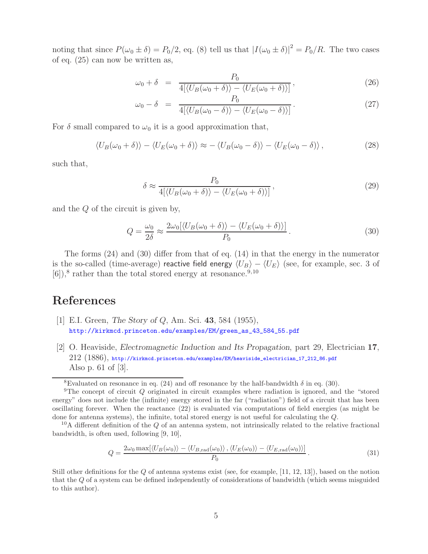noting that since  $P(\omega_0 \pm \delta) = P_0/2$ , eq. (8) tell us that  $|I(\omega_0 \pm \delta)|^2 = P_0/R$ . The two cases of eq. (25) can now be written as,

$$
\omega_0 + \delta = \frac{P_0}{4[\langle U_B(\omega_0 + \delta) \rangle - \langle U_E(\omega_0 + \delta) \rangle]}, \tag{26}
$$

$$
\omega_0 - \delta = \frac{P_0}{4[\langle U_B(\omega_0 - \delta) \rangle - \langle U_E(\omega_0 - \delta) \rangle]}.
$$
\n(27)

For  $\delta$  small compared to  $\omega_0$  it is a good approximation that,

$$
\langle U_B(\omega_0 + \delta) \rangle - \langle U_E(\omega_0 + \delta) \rangle \approx -\langle U_B(\omega_0 - \delta) \rangle - \langle U_E(\omega_0 - \delta) \rangle, \qquad (28)
$$

such that,

$$
\delta \approx \frac{P_0}{4[\langle U_B(\omega_0 + \delta) \rangle - \langle U_E(\omega_0 + \delta) \rangle]},
$$
\n(29)

and the Q of the circuit is given by,

$$
Q = \frac{\omega_0}{2\delta} \approx \frac{2\omega_0[\langle U_B(\omega_0 + \delta) \rangle - \langle U_E(\omega_0 + \delta) \rangle]}{P_0}.
$$
\n(30)

The forms (24) and (30) differ from that of eq. (14) in that the energy in the numerator is the so-called (time-average) reactive field energy  $\langle U_B \rangle - \langle U_E \rangle$  (see, for example, sec. 3 of  $[6]$ ,<sup>8</sup> rather than the total stored energy at resonance.<sup>9,10</sup>

## **References**

- [1] E.I. Green, *The Story of* Q, Am. Sci. **43**, 584 (1955), http://kirkmcd.princeton.edu/examples/EM/green\_as\_43\_584\_55.pdf
- [2] O. Heaviside, *Electromagnetic Induction and Its Propagation*, part 29, Electrician **17**, 212 (1886), http://kirkmcd.princeton.edu/examples/EM/heaviside\_electrician\_17\_212\_86.pdf Also p. 61 of [3].

$$
Q = \frac{2\omega_0 \max[\langle U_B(\omega_0) \rangle - \langle U_{B,\text{rad}}(\omega_0) \rangle, \langle U_E(\omega_0) \rangle - \langle U_{E,\text{rad}}(\omega_0) \rangle]}{P_0}.
$$
\n(31)

Still other definitions for the Q of antenna systems exist (see, for example, [11, 12, 13]), based on the notion that the Q of a system can be defined independently of considerations of bandwidth (which seems misguided to this author).

<sup>&</sup>lt;sup>8</sup>Evaluated on resonance in eq. (24) and off resonance by the half-bandwidth  $\delta$  in eq. (30).

<sup>9</sup>The concept of circuit Q originated in circuit examples where radiation is ignored, and the "stored energy" does not include the (infinite) energy stored in the far ("radiation") field of a circuit that has been oscillating forever. When the reactance (22) is evaluated via computations of field energies (as might be done for antenna systems), the infinite, total stored energy is not useful for calculating the  $Q$ .<br><sup>10</sup>A different definition of the  $Q$  of an antenna system, not intrinsically related to the relative fractional

bandwidth, is often used, following [9, 10],